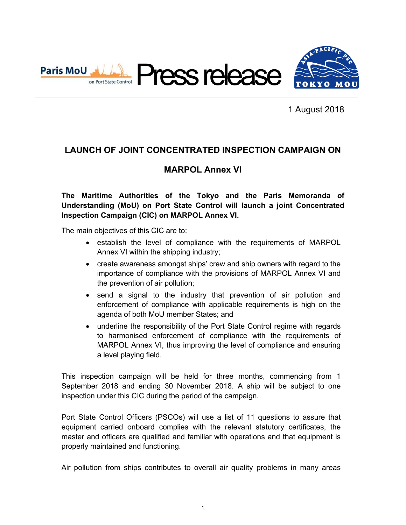

1 August 2018

## **LAUNCH OF JOINT CONCENTRATED INSPECTION CAMPAIGN ON**

## **MARPOL Annex VI**

**The Maritime Authorities of the Tokyo and the Paris Memoranda of Understanding (MoU) on Port State Control will launch a joint Concentrated Inspection Campaign (CIC) on MARPOL Annex VI.** 

The main objectives of this CIC are to:

- establish the level of compliance with the requirements of MARPOL Annex VI within the shipping industry;
- create awareness amongst ships' crew and ship owners with regard to the importance of compliance with the provisions of MARPOL Annex VI and the prevention of air pollution;
- send a signal to the industry that prevention of air pollution and enforcement of compliance with applicable requirements is high on the agenda of both MoU member States; and
- underline the responsibility of the Port State Control regime with regards to harmonised enforcement of compliance with the requirements of MARPOL Annex VI, thus improving the level of compliance and ensuring a level playing field.

This inspection campaign will be held for three months, commencing from 1 September 2018 and ending 30 November 2018. A ship will be subject to one inspection under this CIC during the period of the campaign.

Port State Control Officers (PSCOs) will use a list of 11 questions to assure that equipment carried onboard complies with the relevant statutory certificates, the master and officers are qualified and familiar with operations and that equipment is properly maintained and functioning.

Air pollution from ships contributes to overall air quality problems in many areas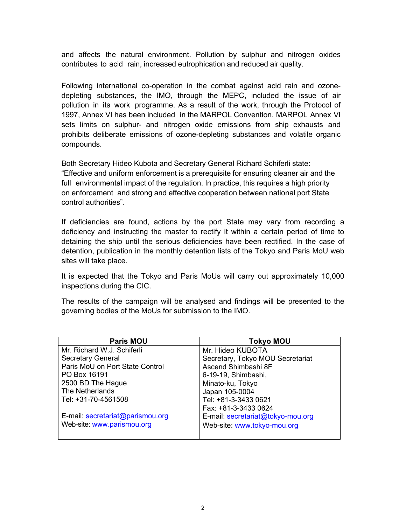and affects the natural environment. Pollution by sulphur and nitrogen oxides contributes to acid rain, increased eutrophication and reduced air quality.

Following international co-operation in the combat against acid rain and ozonedepleting substances, the IMO, through the MEPC, included the issue of air pollution in its work programme. As a result of the work, through the Protocol of 1997, Annex VI has been included in the MARPOL Convention. MARPOL Annex VI sets limits on sulphur- and nitrogen oxide emissions from ship exhausts and prohibits deliberate emissions of ozone-depleting substances and volatile organic compounds.

Both Secretary Hideo Kubota and Secretary General Richard Schiferli state: "Effective and uniform enforcement is a prerequisite for ensuring cleaner air and the full environmental impact of the regulation. In practice, this requires a high priority on enforcement and strong and effective cooperation between national port State control authorities".

If deficiencies are found, actions by the port State may vary from recording a deficiency and instructing the master to rectify it within a certain period of time to detaining the ship until the serious deficiencies have been rectified. In the case of detention, publication in the monthly detention lists of the Tokyo and Paris MoU web sites will take place.

It is expected that the Tokyo and Paris MoUs will carry out approximately 10,000 inspections during the CIC.

The results of the campaign will be analysed and findings will be presented to the governing bodies of the MoUs for submission to the IMO.

| <b>Paris MOU</b>                 | <b>Tokyo MOU</b>                  |
|----------------------------------|-----------------------------------|
| Mr. Richard W.J. Schiferli       | Mr. Hideo KUBOTA                  |
| <b>Secretary General</b>         | Secretary, Tokyo MOU Secretariat  |
| Paris MoU on Port State Control  | Ascend Shimbashi 8F               |
| PO Box 16191                     | 6-19-19, Shimbashi,               |
| 2500 BD The Hague                | Minato-ku, Tokyo                  |
| The Netherlands                  | Japan 105-0004                    |
| Tel: +31-70-4561508              | Tel: +81-3-3433 0621              |
|                                  | Fax: +81-3-3433 0624              |
| E-mail: secretariat@parismou.org | E-mail: secretariat@tokyo-mou.org |
| Web-site: www.parismou.org       | Web-site: www.tokyo-mou.org       |